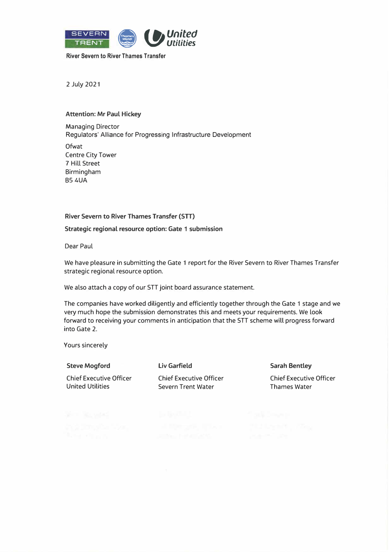

**River Severn to River Thames Transfer** 

2 July 2021

## **Attention: Mr Paul Hickey**

Managing Director Regulators' Alliance for Progressing Infrastructure Development

**Ofwat** Centre City Tower 7 Hill Street Birmingham B54UA

## **River Severn to River Thames Transfer (STT)**

**Strategic regional resource option: Gate 1 submission** 

Dear Paul

We have pleasure in submitting the Gate 1 report for the River Severn to River Thames Transfer strategic regional resource option.

We also attach a copy of our STT joint board assurance statement.

The companies have worked diligently and efficiently together through the Gate 1 stage and we very much hope the submission demonstrates this and meets your requirements. We look forward to receiving your comments in anticipation that the STT scheme will progress forward into Gate 2.

Yours sincerely

| <b>Steve Mogford</b>           | Liv Garfield                   | <b>Sarah Bentley</b>           |
|--------------------------------|--------------------------------|--------------------------------|
| <b>Chief Executive Officer</b> | <b>Chief Executive Officer</b> | <b>Chief Executive Officer</b> |
| United Utilities               | Severn Trent Water             | <b>Thames Water</b>            |